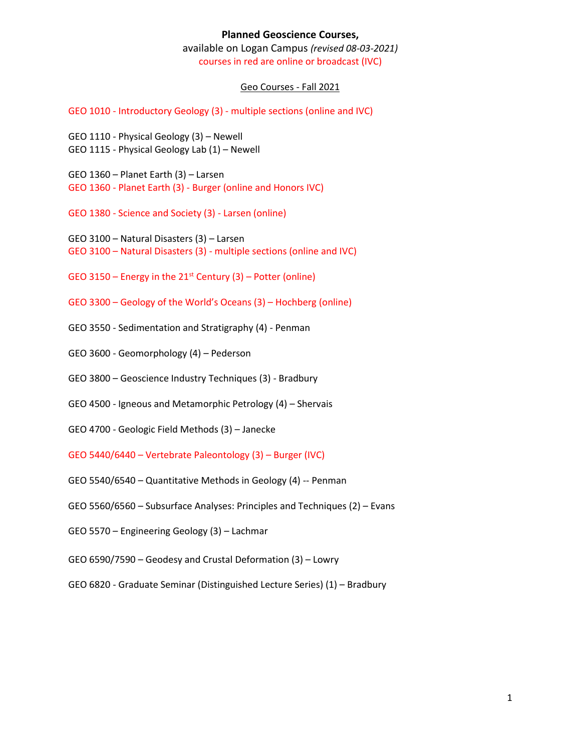## **Planned Geoscience Courses,**

available on Logan Campus *(revised 08-03-2021)* courses in red are online or broadcast (IVC)

## Geo Courses - Fall 2021

GEO 1010 - Introductory Geology (3) - multiple sections (online and IVC)

GEO 1110 - Physical Geology (3) – Newell GEO 1115 - Physical Geology Lab (1) – Newell

GEO 1360 – Planet Earth (3) – Larsen GEO 1360 - Planet Earth (3) - Burger (online and Honors IVC)

GEO 1380 - Science and Society (3) - Larsen (online)

GEO 3100 – Natural Disasters (3) – Larsen GEO 3100 – Natural Disasters (3) - multiple sections (online and IVC)

GEO 3150 – Energy in the  $21^{st}$  Century (3) – Potter (online)

GEO 3300 – Geology of the World's Oceans (3) – Hochberg (online)

GEO 3550 - Sedimentation and Stratigraphy (4) - Penman

GEO 3600 - Geomorphology (4) – Pederson

GEO 3800 – Geoscience Industry Techniques (3) - Bradbury

GEO 4500 - Igneous and Metamorphic Petrology (4) – Shervais

GEO 4700 - Geologic Field Methods (3) – Janecke

GEO 5440/6440 – Vertebrate Paleontology (3) – Burger (IVC)

GEO 5540/6540 – Quantitative Methods in Geology (4) -- Penman

GEO 5560/6560 – Subsurface Analyses: Principles and Techniques (2) – Evans

GEO 5570 – Engineering Geology (3) – Lachmar

GEO 6590/7590 – Geodesy and Crustal Deformation (3) – Lowry

GEO 6820 - Graduate Seminar (Distinguished Lecture Series) (1) – Bradbury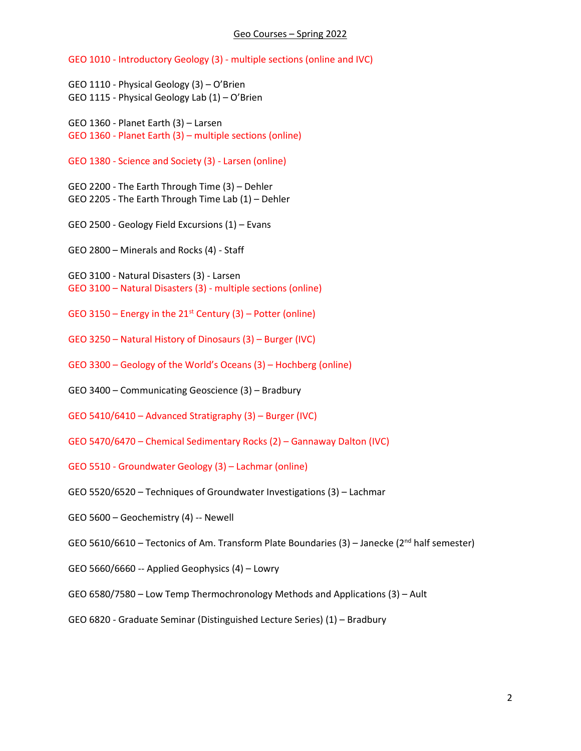## Geo Courses – Spring 2022

GEO 1010 - Introductory Geology (3) - multiple sections (online and IVC)

GEO 1110 - Physical Geology (3) – O'Brien GEO 1115 - Physical Geology Lab (1) – O'Brien

GEO 1360 - Planet Earth (3) – Larsen GEO 1360 - Planet Earth (3) – multiple sections (online)

GEO 1380 - Science and Society (3) - Larsen (online)

GEO 2200 - The Earth Through Time (3) – Dehler GEO 2205 - The Earth Through Time Lab (1) – Dehler

GEO 2500 - Geology Field Excursions (1) – Evans

GEO 2800 – Minerals and Rocks (4) - Staff

GEO 3100 - Natural Disasters (3) - Larsen GEO 3100 – Natural Disasters (3) - multiple sections (online)

GEO 3150 – Energy in the  $21^{st}$  Century (3) – Potter (online)

GEO 3250 – Natural History of Dinosaurs (3) – Burger (IVC)

GEO 3300 – Geology of the World's Oceans (3) – Hochberg (online)

GEO 3400 – Communicating Geoscience (3) – Bradbury

GEO 5410/6410 – Advanced Stratigraphy (3) – Burger (IVC)

- GEO 5470/6470 Chemical Sedimentary Rocks (2) Gannaway Dalton (IVC)
- GEO 5510 Groundwater Geology (3) Lachmar (online)
- GEO 5520/6520 Techniques of Groundwater Investigations (3) Lachmar
- GEO 5600 Geochemistry (4) -- Newell
- GEO 5610/6610 Tectonics of Am. Transform Plate Boundaries (3) Janecke ( $2<sup>nd</sup>$  half semester)
- GEO 5660/6660 -- Applied Geophysics (4) Lowry
- GEO 6580/7580 Low Temp Thermochronology Methods and Applications (3) Ault
- GEO 6820 Graduate Seminar (Distinguished Lecture Series) (1) Bradbury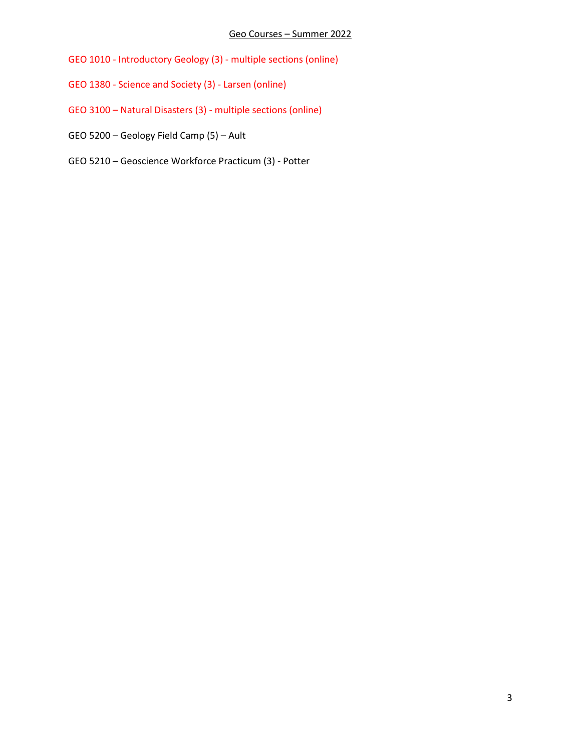- GEO 1010 Introductory Geology (3) multiple sections (online)
- GEO 1380 Science and Society (3) Larsen (online)
- GEO 3100 Natural Disasters (3) multiple sections (online)
- GEO 5200 Geology Field Camp (5) Ault
- GEO 5210 Geoscience Workforce Practicum (3) Potter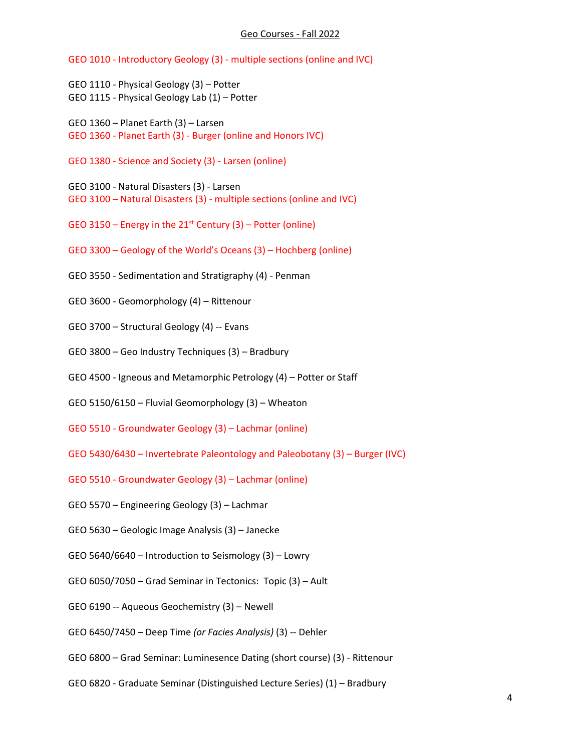## Geo Courses - Fall 2022

GEO 1010 - Introductory Geology (3) - multiple sections (online and IVC)

GEO 1110 - Physical Geology (3) – Potter GEO 1115 - Physical Geology Lab (1) – Potter

GEO 1360 – Planet Earth (3) – Larsen GEO 1360 - Planet Earth (3) - Burger (online and Honors IVC)

GEO 1380 - Science and Society (3) - Larsen (online)

GEO 3100 - Natural Disasters (3) - Larsen GEO 3100 – Natural Disasters (3) - multiple sections (online and IVC)

GEO 3150 – Energy in the  $21^{st}$  Century (3) – Potter (online)

GEO 3300 – Geology of the World's Oceans (3) – Hochberg (online)

GEO 3550 - Sedimentation and Stratigraphy (4) - Penman

GEO 3600 - Geomorphology (4) – Rittenour

GEO 3700 – Structural Geology (4) -- Evans

GEO 3800 – Geo Industry Techniques (3) – Bradbury

GEO 4500 - Igneous and Metamorphic Petrology (4) – Potter or Staff

GEO 5150/6150 – Fluvial Geomorphology (3) – Wheaton

GEO 5510 - Groundwater Geology (3) – Lachmar (online)

GEO 5430/6430 – Invertebrate Paleontology and Paleobotany (3) – Burger (IVC)

GEO 5510 - Groundwater Geology (3) – Lachmar (online)

GEO 5570 – Engineering Geology (3) – Lachmar

GEO 5630 – Geologic Image Analysis (3) – Janecke

GEO 5640/6640 – Introduction to Seismology (3) – Lowry

GEO 6050/7050 – Grad Seminar in Tectonics: Topic (3) – Ault

GEO 6190 -- Aqueous Geochemistry (3) – Newell

GEO 6450/7450 – Deep Time *(or Facies Analysis)* (3) -- Dehler

GEO 6800 – Grad Seminar: Luminesence Dating (short course) (3) - Rittenour

GEO 6820 - Graduate Seminar (Distinguished Lecture Series) (1) – Bradbury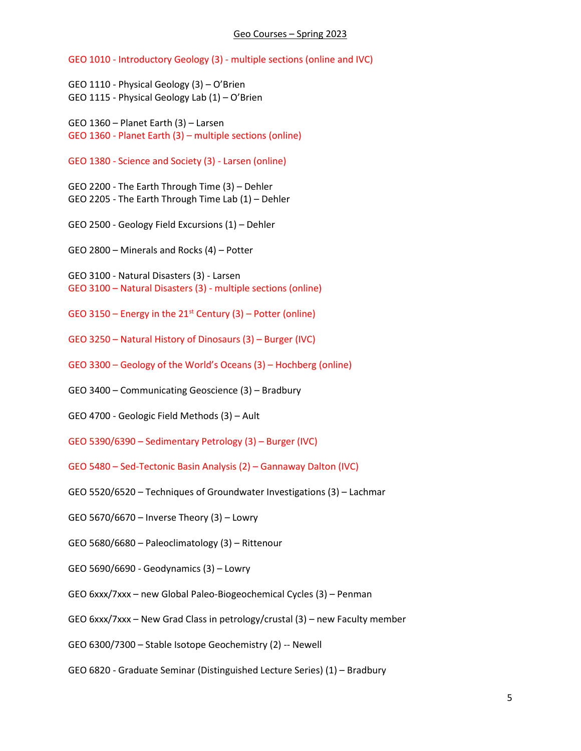GEO 1010 - Introductory Geology (3) - multiple sections (online and IVC)

GEO 1110 - Physical Geology (3) – O'Brien GEO 1115 - Physical Geology Lab (1) – O'Brien

GEO 1360 – Planet Earth (3) – Larsen GEO 1360 - Planet Earth (3) – multiple sections (online)

GEO 1380 - Science and Society (3) - Larsen (online)

GEO 2200 - The Earth Through Time (3) – Dehler GEO 2205 - The Earth Through Time Lab (1) – Dehler

GEO 2500 - Geology Field Excursions (1) – Dehler

GEO 2800 – Minerals and Rocks (4) – Potter

GEO 3100 - Natural Disasters (3) - Larsen GEO 3100 – Natural Disasters (3) - multiple sections (online)

GEO 3150 – Energy in the  $21^{st}$  Century (3) – Potter (online)

GEO 3250 – Natural History of Dinosaurs (3) – Burger (IVC)

GEO 3300 – Geology of the World's Oceans (3) – Hochberg (online)

GEO 3400 – Communicating Geoscience (3) – Bradbury

GEO 4700 - Geologic Field Methods (3) – Ault

GEO 5390/6390 – Sedimentary Petrology (3) – Burger (IVC)

- GEO 5480 Sed-Tectonic Basin Analysis (2) Gannaway Dalton (IVC)
- GEO 5520/6520 Techniques of Groundwater Investigations (3) Lachmar
- GEO 5670/6670 Inverse Theory (3) Lowry
- GEO 5680/6680 Paleoclimatology (3) Rittenour
- GEO 5690/6690 Geodynamics (3) Lowry
- GEO 6xxx/7xxx new Global Paleo-Biogeochemical Cycles (3) Penman
- GEO 6xxx/7xxx New Grad Class in petrology/crustal (3) new Faculty member

GEO 6300/7300 – Stable Isotope Geochemistry (2) -- Newell

GEO 6820 - Graduate Seminar (Distinguished Lecture Series) (1) – Bradbury